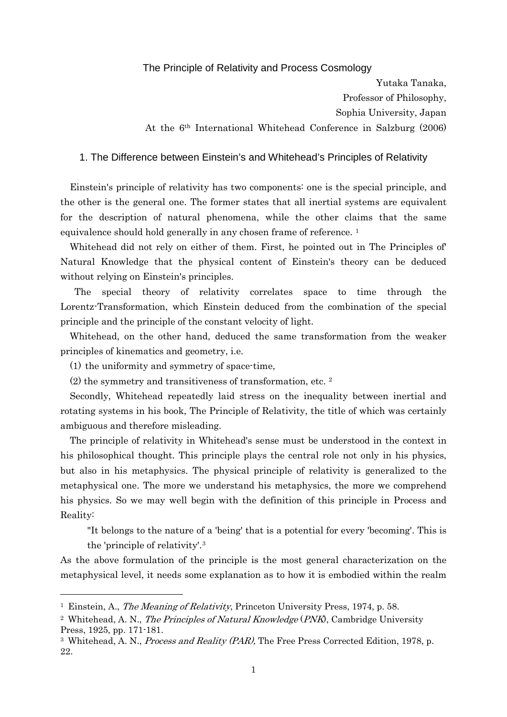## The Principle of Relativity and Process Cosmology

Yutaka Tanaka, Professor of Philosophy, Sophia University, Japan At the 6th International Whitehead Conference in Salzburg (2006)

## 1. The Difference between Einstein's and Whitehead's Principles of Relativity

Einstein's principle of relativity has two components: one is the special principle, and the other is the general one. The former states that all inertial systems are equivalent for the description of natural phenomena, while the other claims that the same equivalence should hold generally in any chosen frame of reference.<sup>[1](#page-0-0)</sup>

Whitehead did not rely on either of them. First, he pointed out in The Principles of' Natural Knowledge that the physical content of Einstein's theory can be deduced without relying on Einstein's principles.

The special theory of relativity correlates space to time through the Lorentz-Transformation, which Einstein deduced from the combination of the special principle and the principle of the constant velocity of light.

Whitehead, on the other hand, deduced the same transformation from the weaker principles of kinematics and geometry, i.e.

(1) the uniformity and symmetry of space-time,

1

(2) the symmetry and transitiveness of transformation, etc. [2](#page-0-1)

Secondly, Whitehead repeatedly laid stress on the inequality between inertial and rotating systems in his book, The Principle of Relativity, the title of which was certainly ambiguous and therefore misleading.

The principle of relativity in Whitehead's sense must be understood in the context in his philosophical thought. This principle plays the central role not only in his physics, but also in his metaphysics. The physical principle of relativity is generalized to the metaphysical one. The more we understand his metaphysics, the more we comprehend his physics. So we may well begin with the definition of this principle in Process and Reality:

"It belongs to the nature of a 'being' that is a potential for every 'becoming'. This is the 'principle of relativity'.[3](#page-0-2)

As the above formulation of the principle is the most general characterization on the metaphysical level, it needs some explanation as to how it is embodied within the realm

<span id="page-0-0"></span><sup>1</sup> Einstein, A., The Meaning of Relativity, Princeton University Press, 1974, p. 58.

<span id="page-0-1"></span><sup>&</sup>lt;sup>2</sup> Whitehead, A. N., *The Principles of Natural Knowledge (PNK*), Cambridge University Press, 1925, pp. 171-181.

<span id="page-0-2"></span><sup>&</sup>lt;sup>3</sup> Whitehead, A. N., *Process and Reality (PAR)*, The Free Press Corrected Edition, 1978, p. 22.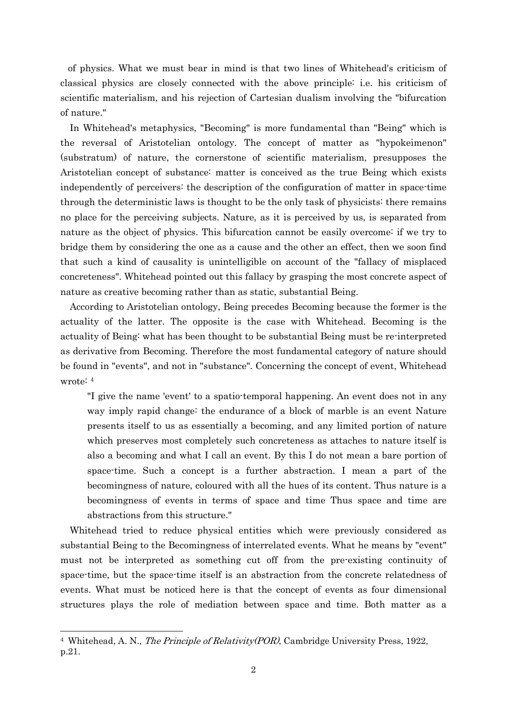of physics. What we must bear in mind is that two lines of Whitehead's criticism of classical physics are closely connected with the above principle: i.e. his criticism of scientific materialism, and his rejection of Cartesian dualism involving the "bifurcation of nature."

In Whitehead's metaphysics, "Becoming" is more fundamental than "Being" which is the reversal of Aristotelian ontology. The concept of matter as "hypokeimenon" (substratum) of nature, the cornerstone of scientific materialism, presupposes the Aristotelian concept of substance: matter is conceived as the true Being which exists independently of perceivers: the description of the configuration of matter in space-time through the deterministic laws is thought to be the only task of physicists: there remains no place for the perceiving subjects. Nature, as it is perceived by us, is separated from nature as the object of physics. This bifurcation cannot be easily overcome: if we try to bridge them by considering the one as a cause and the other an effect, then we soon find that such a kind of causality is unintelligible on account of the "fallacy of misplaced concreteness". Whitehead pointed out this fallacy by grasping the most concrete aspect of nature as creative becoming rather than as static, substantial Being.

According to Aristotelian ontology, Being precedes Becoming because the former is the actuality of the latter. The opposite is the case with Whitehead. Becoming is the actuality of Being: what has been thought to be substantial Being must be re-interpreted as derivative from Becoming. Therefore the most fundamental category of nature should be found in "events", and not in "substance". Concerning the concept of event, Whitehead wrote: [4](#page-1-0)

"I give the name 'event' to a spatio-temporal happening. An event does not in any way imply rapid change: the endurance of a block of marble is an event Nature presents itself to us as essentially a becoming, and any limited portion of nature which preserves most completely such concreteness as attaches to nature itself is also a becoming and what I call an event. By this I do not mean a bare portion of space-time. Such a concept is a further abstraction. I mean a part of the becomingness of nature, coloured with all the hues of its content. Thus nature is a becomingness of events in terms of space and time Thus space and time are abstractions from this structure."

Whitehead tried to reduce physical entities which were previously considered as substantial Being to the Becomingness of interrelated events. What he means by "event" must not be interpreted as something cut off from the pre-existing continuity of space-time, but the space-time itself is an abstraction from the concrete relatedness of events. What must be noticed here is that the concept of events as four dimensional structures plays the role of mediation between space and time. Both matter as a

<span id="page-1-0"></span><sup>&</sup>lt;sup>4</sup> Whitehead, A. N., *The Principle of Relativity(POR)*, Cambridge University Press, 1922, p.21.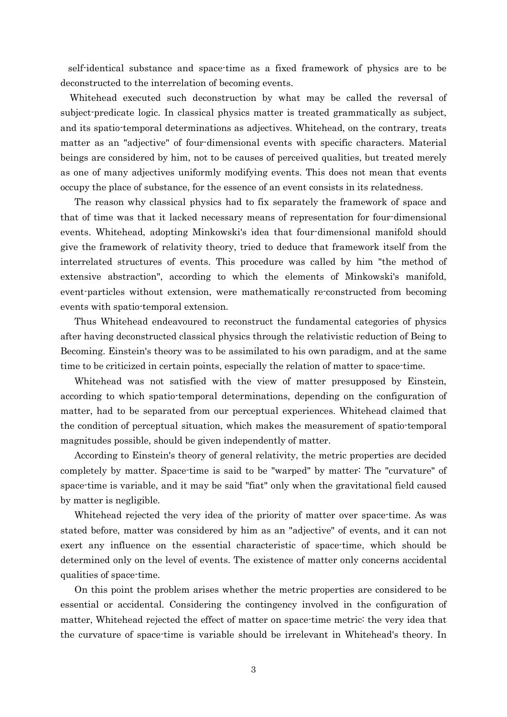self-identical substance and space-time as a fixed framework of physics are to be deconstructed to the interrelation of becoming events.

Whitehead executed such deconstruction by what may be called the reversal of subject-predicate logic. In classical physics matter is treated grammatically as subject, and its spatio-temporal determinations as adjectives. Whitehead, on the contrary, treats matter as an "adjective" of four-dimensional events with specific characters. Material beings are considered by him, not to be causes of perceived qualities, but treated merely as one of many adjectives uniformly modifying events. This does not mean that events occupy the place of substance, for the essence of an event consists in its relatedness.

The reason why classical physics had to fix separately the framework of space and that of time was that it lacked necessary means of representation for four-dimensional events. Whitehead, adopting Minkowski's idea that four-dimensional manifold should give the framework of relativity theory, tried to deduce that framework itself from the interrelated structures of events. This procedure was called by him "the method of extensive abstraction", according to which the elements of Minkowski's manifold, event-particles without extension, were mathematically re-constructed from becoming events with spatio-temporal extension.

Thus Whitehead endeavoured to reconstruct the fundamental categories of physics after having deconstructed classical physics through the relativistic reduction of Being to Becoming. Einstein's theory was to be assimilated to his own paradigm, and at the same time to be criticized in certain points, especially the relation of matter to space-time.

Whitehead was not satisfied with the view of matter presupposed by Einstein, according to which spatio-temporal determinations, depending on the configuration of matter, had to be separated from our perceptual experiences. Whitehead claimed that the condition of perceptual situation, which makes the measurement of spatio-temporal magnitudes possible, should be given independently of matter.

According to Einstein's theory of general relativity, the metric properties are decided completely by matter. Space-time is said to be "warped" by matter: The "curvature" of space-time is variable, and it may be said "fiat" only when the gravitational field caused by matter is negligible.

Whitehead rejected the very idea of the priority of matter over space-time. As was stated before, matter was considered by him as an "adjective" of events, and it can not exert any influence on the essential characteristic of space-time, which should be determined only on the level of events. The existence of matter only concerns accidental qualities of space-time.

On this point the problem arises whether the metric properties are considered to be essential or accidental. Considering the contingency involved in the configuration of matter, Whitehead rejected the effect of matter on space-time metric: the very idea that the curvature of space-time is variable should be irrelevant in Whitehead's theory. In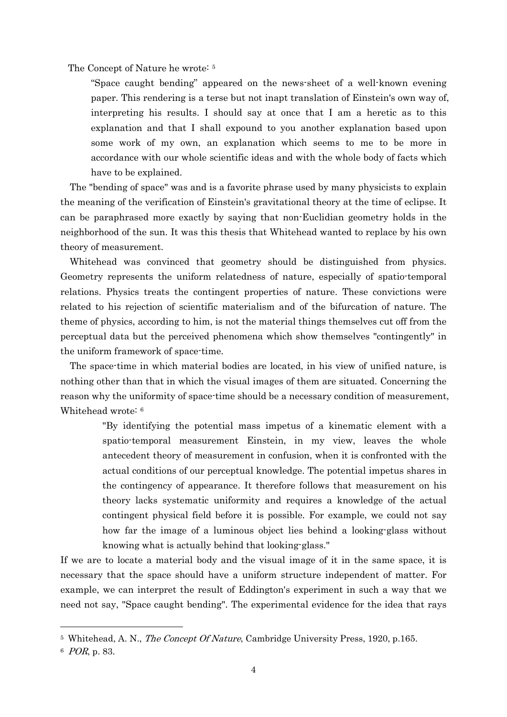The Concept of Nature he wrote: [5](#page-3-0)

"Space caught bending" appeared on the news-sheet of a well-known evening paper. This rendering is a terse but not inapt translation of Einstein's own way of, interpreting his results. I should say at once that I am a heretic as to this explanation and that I shall expound to you another explanation based upon some work of my own, an explanation which seems to me to be more in accordance with our whole scientific ideas and with the whole body of facts which have to be explained.

The "bending of space" was and is a favorite phrase used by many physicists to explain the meaning of the verification of Einstein's gravitational theory at the time of eclipse. It can be paraphrased more exactly by saying that non-Euclidian geometry holds in the neighborhood of the sun. It was this thesis that Whitehead wanted to replace by his own theory of measurement.

Whitehead was convinced that geometry should be distinguished from physics. Geometry represents the uniform relatedness of nature, especially of spatio-temporal relations. Physics treats the contingent properties of nature. These convictions were related to his rejection of scientific materialism and of the bifurcation of nature. The theme of physics, according to him, is not the material things themselves cut off from the perceptual data but the perceived phenomena which show themselves "contingently" in the uniform framework of space-time.

The space-time in which material bodies are located, in his view of unified nature, is nothing other than that in which the visual images of them are situated. Concerning the reason why the uniformity of space-time should be a necessary condition of measurement, Whitehead wrote: [6](#page-3-1)

> "By identifying the potential mass impetus of a kinematic element with a spatio-temporal measurement Einstein, in my view, leaves the whole antecedent theory of measurement in confusion, when it is confronted with the actual conditions of our perceptual knowledge. The potential impetus shares in the contingency of appearance. It therefore follows that measurement on his theory lacks systematic uniformity and requires a knowledge of the actual contingent physical field before it is possible. For example, we could not say how far the image of a luminous object lies behind a looking-glass without knowing what is actually behind that looking-glass."

If we are to locate a material body and the visual image of it in the same space, it is necessary that the space should have a uniform structure independent of matter. For example, we can interpret the result of Eddington's experiment in such a way that we need not say, "Space caught bending". The experimental evidence for the idea that rays

<span id="page-3-0"></span><sup>&</sup>lt;sup>5</sup> Whitehead, A. N., *The Concept Of Nature*, Cambridge University Press, 1920, p.165.

<span id="page-3-1"></span><sup>6</sup> POR, p. 83.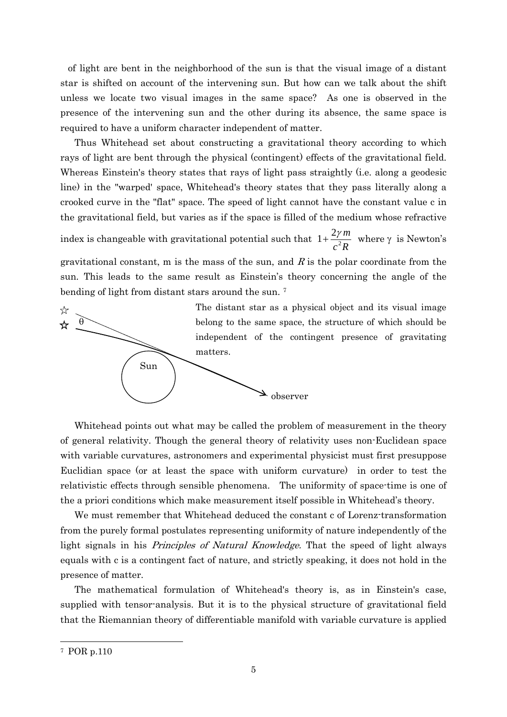of light are bent in the neighborhood of the sun is that the visual image of a distant star is shifted on account of the intervening sun. But how can we talk about the shift unless we locate two visual images in the same space? As one is observed in the presence of the intervening sun and the other during its absence, the same space is required to have a uniform character independent of matter.

Thus Whitehead set about constructing a gravitational theory according to which rays of light are bent through the physical (contingent) effects of the gravitational field. Whereas Einstein's theory states that rays of light pass straightly (i.e. along a geodesic line) in the "warped' space, Whitehead's theory states that they pass literally along a crooked curve in the "flat" space. The speed of light cannot have the constant value c in the gravitational field, but varies as if the space is filled of the medium whose refractive index is changeable with gravitational potential such that  $c^2R$ *m*  $1+\frac{2\gamma m}{a^2 P}$  where  $\gamma$  is Newton's gravitational constant, m is the mass of the sun, and  $R$  is the polar coordinate from the sun. This leads to the same result as Einstein's theory concerning the angle of the bending of light from distant stars around the sun. [7](#page-4-0)



Whitehead points out what may be called the problem of measurement in the theory of general relativity. Though the general theory of relativity uses non-Euclidean space with variable curvatures, astronomers and experimental physicist must first presuppose Euclidian space (or at least the space with uniform curvature) in order to test the relativistic effects through sensible phenomena. The uniformity of space-time is one of the a priori conditions which make measurement itself possible in Whitehead's theory.

We must remember that Whitehead deduced the constant c of Lorenz-transformation from the purely formal postulates representing uniformity of nature independently of the light signals in his Principles of Natural Knowledge. That the speed of light always equals with c is a contingent fact of nature, and strictly speaking, it does not hold in the presence of matter.

The mathematical formulation of Whitehead's theory is, as in Einstein's case, supplied with tensor-analysis. But it is to the physical structure of gravitational field that the Riemannian theory of differentiable manifold with variable curvature is applied

<span id="page-4-0"></span> <sup>7</sup> POR p.110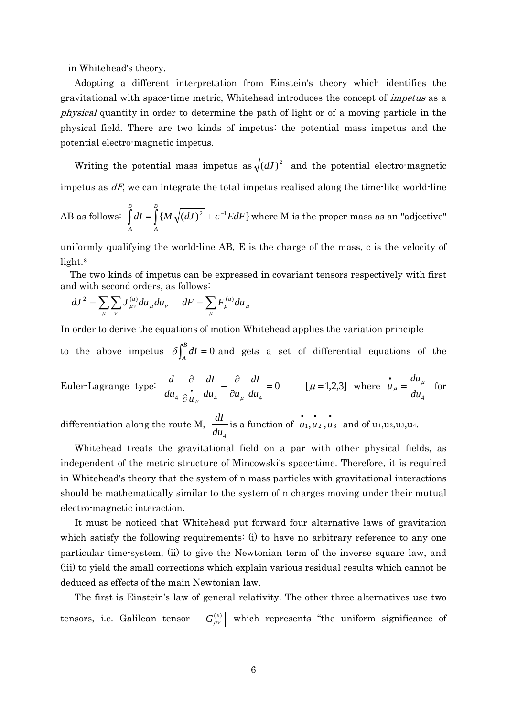in Whitehead's theory.

 Adopting a different interpretation from Einstein's theory which identifies the gravitational with space-time metric, Whitehead introduces the concept of impetus as a physical quantity in order to determine the path of light or of a moving particle in the physical field. There are two kinds of impetus: the potential mass impetus and the potential electro-magnetic impetus.

Writing the potential mass impetus as  $\sqrt{(dJ)^2}$  and the potential electro-magnetic impetus as  $dF$ , we can integrate the total impetus realised along the time-like world-line

AB as follows: 
$$
\int_{A}^{B} dI = \int_{A}^{B} \{ M \sqrt{(dJ)^2} + c^{-1} E dF \}
$$
 where M is the proper mass as an "adjective"

uniformly qualifying the world-line AB, E is the charge of the mass, c is the velocity of light.<sup>[8](#page-5-0)</sup>

The two kinds of impetus can be expressed in covariant tensors respectively with first and with second orders, as follows:

$$
dJ^{2} = \sum_{\mu} \sum_{\nu} J^{(u)}_{\mu\nu} du_{\mu} du_{\nu} \qquad dF = \sum_{\mu} F^{(u)}_{\mu} du_{\mu}
$$

In order to derive the equations of motion Whitehead applies the variation principle

to the above impetus  $\delta \int_A^B dI = 0$  and gets a set of differential equations of the

Euler-Lagrange type: 
$$
\frac{d}{du_4} \frac{\partial}{\partial u_\mu} \frac{dI}{du_4} - \frac{\partial}{\partial u_\mu} \frac{dI}{du_4} = 0
$$
 [ $\mu$  = 1,2,3] where  $\dot{u}_\mu = \frac{du_\mu}{du_4}$  for

differentiation along the route M,  $\frac{dI}{du_4}$  is a function of  $\mathbf{u}_1, \mathbf{u}_2, \mathbf{u}_3$  and of u<sub>1</sub>, u<sub>2</sub>, u<sub>3</sub>, u<sub>4</sub>.

Whitehead treats the gravitational field on a par with other physical fields, as independent of the metric structure of Mincowski's space-time. Therefore, it is required in Whitehead's theory that the system of n mass particles with gravitational interactions should be mathematically similar to the system of n charges moving under their mutual electro-magnetic interaction.

It must be noticed that Whitehead put forward four alternative laws of gravitation which satisfy the following requirements: (i) to have no arbitrary reference to any one particular time-system, (ii) to give the Newtonian term of the inverse square law, and (iii) to yield the small corrections which explain various residual results which cannot be deduced as effects of the main Newtonian law.

<span id="page-5-0"></span>The first is Einstein's law of general relativity. The other three alternatives use two tensors, i.e. Galilean tensor  $\left\| G_{\mu\nu}^{(x)} \right\|$  which represents "the uniform significance of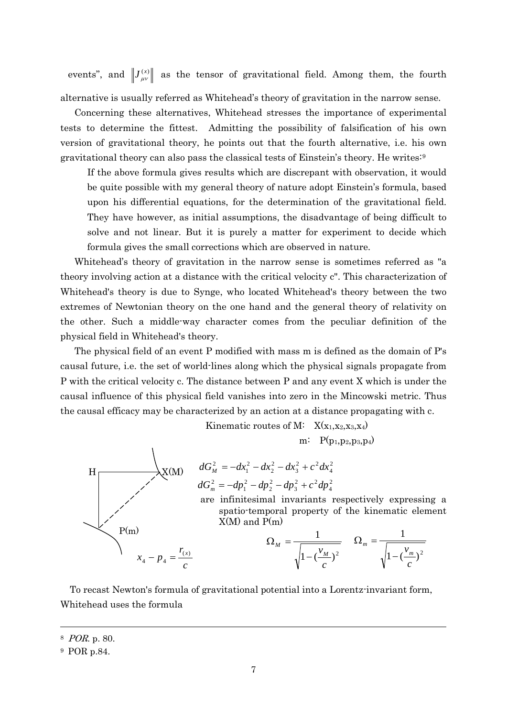events", and  $\left\| J_{\mu\nu}^{(x)} \right\|$  as the tensor of gravitational field. Among them, the fourth alternative is usually referred as Whitehead's theory of gravitation in the narrow sense.

Concerning these alternatives, Whitehead stresses the importance of experimental tests to determine the fittest. Admitting the possibility of falsification of his own version of gravitational theory, he points out that the fourth alternative, i.e. his own gravitational theory can also pass the classical tests of Einstein's theory. He writes:[9](#page-6-0)

If the above formula gives results which are discrepant with observation, it would be quite possible with my general theory of nature adopt Einstein's formula, based upon his differential equations, for the determination of the gravitational field. They have however, as initial assumptions, the disadvantage of being difficult to solve and not linear. But it is purely a matter for experiment to decide which formula gives the small corrections which are observed in nature.

Whitehead's theory of gravitation in the narrow sense is sometimes referred as "a theory involving action at a distance with the critical velocity c". This characterization of Whitehead's theory is due to Synge, who located Whitehead's theory between the two extremes of Newtonian theory on the one hand and the general theory of relativity on the other. Such a middle-way character comes from the peculiar definition of the physical field in Whitehead's theory.

The physical field of an event P modified with mass m is defined as the domain of P's causal future, i.e. the set of world-lines along which the physical signals propagate from P with the critical velocity c. The distance between P and any event X which is under the causal influence of this physical field vanishes into zero in the Mincowski metric. Thus the causal efficacy may be characterized by an action at a distance propagating with c.

$$
H
$$
\n
$$
dG_{m}^{2} = -dx_{1}^{2} - dx_{2}^{2} - dx_{3}^{2} + c^{2} dx_{4}^{2}
$$
\n
$$
dG_{m}^{2} = -dp_{1}^{2} - dy_{2}^{2} - dz_{3}^{2} + c^{2} dx_{4}^{2}
$$
\n
$$
dG_{m}^{2} = -dp_{1}^{2} - dp_{2}^{2} - dp_{3}^{2} + c^{2} dp_{4}^{2}
$$
\nare infinitesimal invariants respectively expressing a spatio-temporal property of the kinematic element X(M) and P(m)\n
$$
P(m)
$$
\n
$$
\Omega_{M} = \frac{1}{\sqrt{1 - (\frac{v_{M}}{c})^{2}}} \qquad \Omega_{m} = \frac{1}{\sqrt{1 - (\frac{v_{m}}{c})^{2}}}
$$

To recast Newton's formula of gravitational potential into a Lorentz-invariant form, Whitehead uses the formula

<sup>8</sup> POR. p. 80.

<span id="page-6-0"></span><sup>9</sup> POR p.84.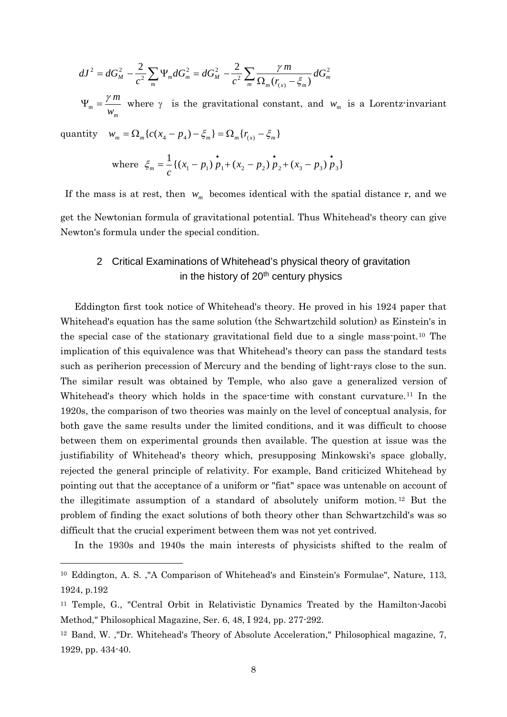$$
dJ^{2} = dG_{M}^{2} - \frac{2}{c^{2}} \sum_{m} \Psi_{m} dG_{m}^{2} = dG_{M}^{2} - \frac{2}{c^{2}} \sum_{m} \frac{\gamma m}{\Omega_{m}(r_{(x)} - \xi_{m})} dG_{m}^{2}
$$

 $\Psi_m = \frac{\gamma m}{w_m}$  where  $\gamma$  is the gravitational constant, and  $w_m$  is a Lorentz-invariant

quantity  $w_m = \Omega_m \{ c(x_4 - p_4) - \xi_m \} = \Omega_m \{ r_{(x)} - \xi_m \}$ 

1

where 
$$
\xi_m = \frac{1}{c} \{ (x_1 - p_1) \stackrel{\bullet}{p}_1 + (x_2 - p_2) \stackrel{\bullet}{p}_2 + (x_3 - p_3) \stackrel{\bullet}{p}_3 \}
$$

If the mass is at rest, then  $w_m$  becomes identical with the spatial distance r, and we get the Newtonian formula of gravitational potential. Thus Whitehead's theory can give Newton's formula under the special condition.

## 2 Critical Examinations of Whitehead's physical theory of gravitation in the history of 20<sup>th</sup> century physics

Eddington first took notice of Whitehead's theory. He proved in his 1924 paper that Whitehead's equation has the same solution (the Schwartzchild solution) as Einstein's in the special case of the stationary gravitational field due to a single mass-point.[10](#page-7-0) The implication of this equivalence was that Whitehead's theory can pass the standard tests such as periherion precession of Mercury and the bending of light-rays close to the sun. The similar result was obtained by Temple, who also gave a generalized version of Whitehead's theory which holds in the space-time with constant curvature.<sup>[11](#page-7-1)</sup> In the 1920s, the comparison of two theories was mainly on the level of conceptual analysis, for both gave the same results under the limited conditions, and it was difficult to choose between them on experimental grounds then available. The question at issue was the justifiability of Whitehead's theory which, presupposing Minkowski's space globally, rejected the general principle of relativity. For example, Band criticized Whitehead by pointing out that the acceptance of a uniform or "fiat" space was untenable on account of the illegitimate assumption of a standard of absolutely uniform motion. [12](#page-7-2) But the problem of finding the exact solutions of both theory other than Schwartzchild's was so difficult that the crucial experiment between them was not yet contrived.

In the 1930s and 1940s the main interests of physicists shifted to the realm of

<span id="page-7-0"></span><sup>10</sup> Eddington, A. S. ,"A Comparison of Whitehead's and Einstein's Formulae", Nature, 113, 1924, p.192

<span id="page-7-1"></span><sup>11</sup> Temple, G., "Central Orbit in Relativistic Dynamics Treated by the Hamilton-Jacobi Method," Philosophical Magazine, Ser. 6, 48, I 924, pp. 277-292.

<span id="page-7-2"></span><sup>12</sup> Band, W. ,"Dr. Whitehead's Theory of Absolute Acceleration," Philosophical magazine, 7, 1929, pp. 434-40.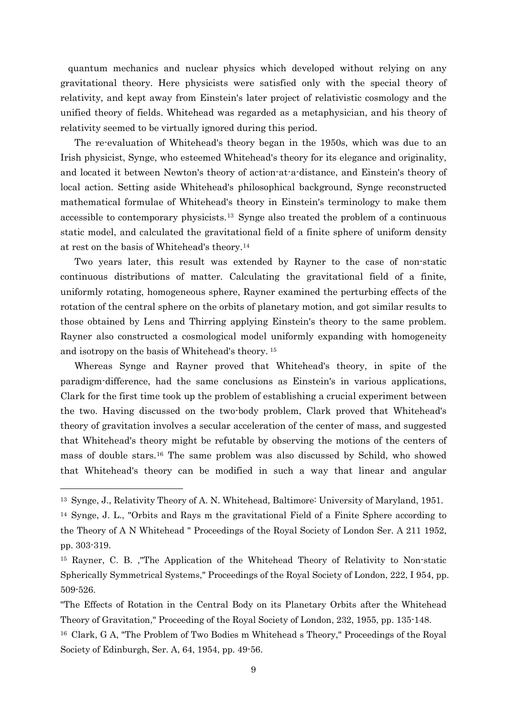quantum mechanics and nuclear physics which developed without relying on any gravitational theory. Here physicists were satisfied only with the special theory of relativity, and kept away from Einstein's later project of relativistic cosmology and the unified theory of fields. Whitehead was regarded as a metaphysician, and his theory of relativity seemed to be virtually ignored during this period.

The re-evaluation of Whitehead's theory began in the 1950s, which was due to an Irish physicist, Synge, who esteemed Whitehead's theory for its elegance and originality, and located it between Newton's theory of action-at-a-distance, and Einstein's theory of local action. Setting aside Whitehead's philosophical background, Synge reconstructed mathematical formulae of Whitehead's theory in Einstein's terminology to make them accessible to contemporary physicists.[13](#page-8-0) Synge also treated the problem of a continuous static model, and calculated the gravitational field of a finite sphere of uniform density at rest on the basis of Whitehead's theory.[14](#page-8-1)

Two years later, this result was extended by Rayner to the case of non-static continuous distributions of matter. Calculating the gravitational field of a finite, uniformly rotating, homogeneous sphere, Rayner examined the perturbing effects of the rotation of the central sphere on the orbits of planetary motion, and got similar results to those obtained by Lens and Thirring applying Einstein's theory to the same problem. Rayner also constructed a cosmological model uniformly expanding with homogeneity and isotropy on the basis of Whitehead's theory. [15](#page-8-2)

Whereas Synge and Rayner proved that Whitehead's theory, in spite of the paradigm-difference, had the same conclusions as Einstein's in various applications, Clark for the first time took up the problem of establishing a crucial experiment between the two. Having discussed on the two-body problem, Clark proved that Whitehead's theory of gravitation involves a secular acceleration of the center of mass, and suggested that Whitehead's theory might be refutable by observing the motions of the centers of mass of double stars.[16](#page-8-3) The same problem was also discussed by Schild, who showed that Whitehead's theory can be modified in such a way that linear and angular

<span id="page-8-0"></span><sup>13</sup> Synge, J., Relativity Theory of A. N. Whitehead, Baltimore: University of Maryland, 1951.

<span id="page-8-1"></span><sup>14</sup> Synge, J. L., "Orbits and Rays m the gravitational Field of a Finite Sphere according to the Theory of A N Whitehead " Proceedings of the Royal Society of London Ser. A 211 1952, pp. 303-319.

<span id="page-8-2"></span><sup>15</sup> Rayner, C. B. ,"The Application of the Whitehead Theory of Relativity to Non-static Spherically Symmetrical Systems," Proceedings of the Royal Society of London, 222, I 954, pp. 509-526.

<sup>&</sup>quot;The Effects of Rotation in the Central Body on its Planetary Orbits after the Whitehead Theory of Gravitation," Proceeding of the Royal Society of London, 232, 1955, pp. 135-148.

<span id="page-8-3"></span><sup>16</sup> Clark, G A, "The Problem of Two Bodies m Whitehead s Theory," Proceedings of the Royal Society of Edinburgh, Ser. A, 64, 1954, pp. 49-56.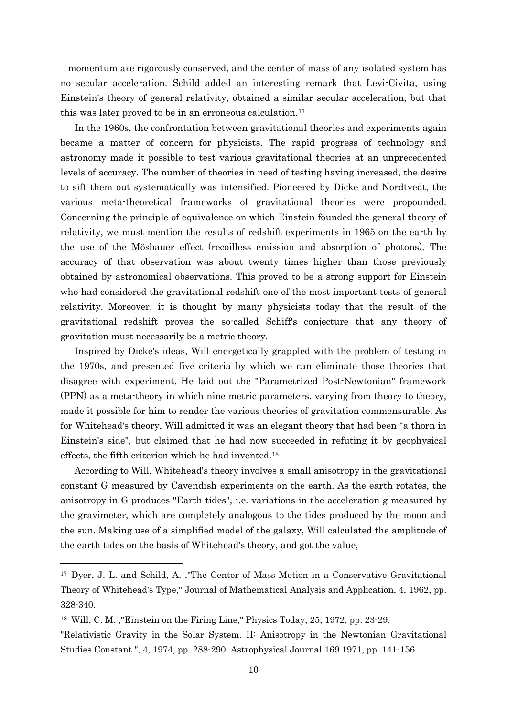momentum are rigorously conserved, and the center of mass of any isolated system has no secular acceleration. Schild added an interesting remark that Levi-Civita, using Einstein's theory of general relativity, obtained a similar secular acceleration, but that this was later proved to be in an erroneous calculation.<sup>17</sup>

In the 1960s, the confrontation between gravitational theories and experiments again became a matter of concern for physicists. The rapid progress of technology and astronomy made it possible to test various gravitational theories at an unprecedented levels of accuracy. The number of theories in need of testing having increased, the desire to sift them out systematically was intensified. Pioneered by Dicke and Nordtvedt, the various meta-theoretical frameworks of gravitational theories were propounded. Concerning the principle of equivalence on which Einstein founded the general theory of relativity, we must mention the results of redshift experiments in 1965 on the earth by the use of the Mösbauer effect (recoilless emission and absorption of photons). The accuracy of that observation was about twenty times higher than those previously obtained by astronomical observations. This proved to be a strong support for Einstein who had considered the gravitational redshift one of the most important tests of general relativity. Moreover, it is thought by many physicists today that the result of the gravitational redshift proves the so-called Schiff's conjecture that any theory of gravitation must necessarily be a metric theory.

Inspired by Dicke's ideas, Will energetically grappled with the problem of testing in the 1970s, and presented five criteria by which we can eliminate those theories that disagree with experiment. He laid out the "Parametrized Post-Newtonian" framework (PPN) as a meta-theory in which nine metric parameters. varying from theory to theory, made it possible for him to render the various theories of gravitation commensurable. As for Whitehead's theory, Will admitted it was an elegant theory that had been "a thorn in Einstein's side", but claimed that he had now succeeded in refuting it by geophysical effects, the fifth criterion which he had invented.<sup>[18](#page-9-1)</sup>

According to Will, Whitehead's theory involves a small anisotropy in the gravitational constant G measured by Cavendish experiments on the earth. As the earth rotates, the anisotropy in G produces "Earth tides", i.e. variations in the acceleration g measured by the gravimeter, which are completely analogous to the tides produced by the moon and the sun. Making use of a simplified model of the galaxy, Will calculated the amplitude of the earth tides on the basis of Whitehead's theory, and got the value,

<span id="page-9-0"></span><sup>17</sup> Dyer, J. L. and Schild, A. ,"The Center of Mass Motion in a Conservative Gravitational Theory of Whitehead's Type," Journal of Mathematical Analysis and Application, 4, 1962, pp. 328-340.

<span id="page-9-1"></span><sup>18</sup> Will, C. M. ,"Einstein on the Firing Line," Physics Today, 25, 1972, pp. 23-29.

<sup>&</sup>quot;Relativistic Gravity in the Solar System. II: Anisotropy in the Newtonian Gravitational Studies Constant ", 4, 1974, pp. 288-290. Astrophysical Journal 169 1971, pp. 141-156.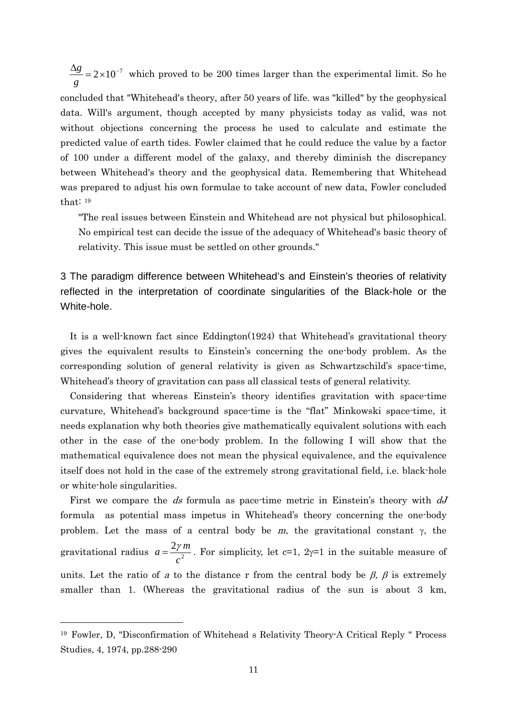$\frac{\Delta g}{\Delta} = 2 \times 10^{-7}$ *g*  $\frac{g}{g}$  = 2×10<sup>-7</sup> which proved to be 200 times larger than the experimental limit. So he concluded that "Whitehead's theory, after 50 years of life. was "killed" by the geophysical data. Will's argument, though accepted by many physicists today as valid, was not without objections concerning the process he used to calculate and estimate the predicted value of earth tides. Fowler claimed that he could reduce the value by a factor of 100 under a different model of the galaxy, and thereby diminish the discrepancy between Whitehead's theory and the geophysical data. Remembering that Whitehead was prepared to adjust his own formulae to take account of new data, Fowler concluded that: [19](#page-10-0)

"The real issues between Einstein and Whitehead are not physical but philosophical. No empirical test can decide the issue of the adequacy of Whitehead's basic theory of relativity. This issue must be settled on other grounds."

3 The paradigm difference between Whitehead's and Einstein's theories of relativity reflected in the interpretation of coordinate singularities of the Black-hole or the White-hole.

It is a well-known fact since Eddington(1924) that Whitehead's gravitational theory gives the equivalent results to Einstein's concerning the one-body problem. As the corresponding solution of general relativity is given as Schwartzschild's space-time, Whitehead's theory of gravitation can pass all classical tests of general relativity.

 Considering that whereas Einstein's theory identifies gravitation with space-time curvature, Whitehead's background space-time is the "flat" Minkowski space-time, it needs explanation why both theories give mathematically equivalent solutions with each other in the case of the one-body problem. In the following I will show that the mathematical equivalence does not mean the physical equivalence, and the equivalence itself does not hold in the case of the extremely strong gravitational field, i.e. black-hole or white-hole singularities.

First we compare the ds formula as pace-time metric in Einstein's theory with  $dJ$ formula as potential mass impetus in Whitehead's theory concerning the one-body problem. Let the mass of a central body be m, the gravitational constant  $\gamma$ , the gravitational radius  $a = \frac{2\gamma}{c^2}$ *c*  $a = \frac{2\gamma m}{r^2}$ . For simplicity, let c=1, 2 $\gamma$ =1 in the suitable measure of units. Let the ratio of a to the distance r from the central body be  $\beta$ ,  $\beta$  is extremely smaller than 1. (Whereas the gravitational radius of the sun is about 3 km,

<span id="page-10-0"></span><sup>19</sup> Fowler, D, "Disconfirmation of Whitehead s Relativity Theory-A Critical Reply " Process Studies, 4, 1974, pp.288-290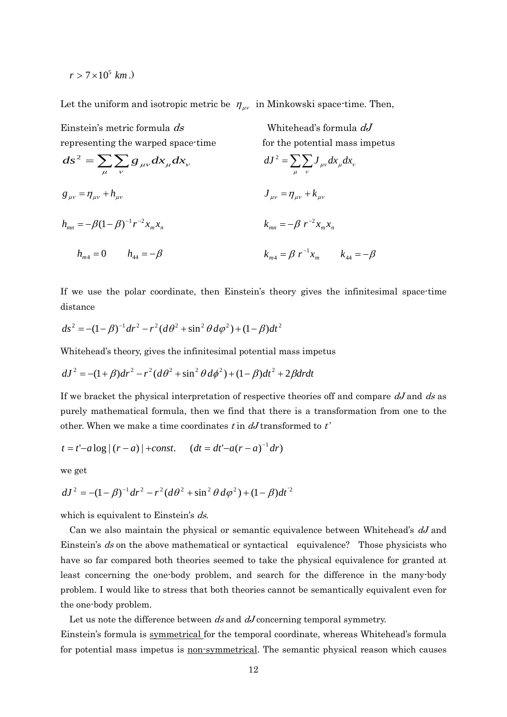$r > 7 \times 10^5$  km.)

Let the uniform and isotropic metric be  $\eta_{\mu\nu}$  in Minkowski space-time. Then,

Einstein's metric formula ds representing the warped space-time

Whitehead's formula  $dJ$ for the potential mass impetus

$$
ds^{2} = \sum_{\mu} \sum_{\nu} g_{\mu\nu} dx_{\mu} dx_{\nu}
$$
  
\n
$$
g_{\mu\nu} = \eta_{\mu\nu} + h_{\mu\nu}
$$
  
\n
$$
h_{mn} = -\beta (1 - \beta)^{-1} r^{-2} x_{m} x_{n}
$$
  
\n
$$
h_{mn} = 0 \qquad h_{44} = -\beta
$$
  
\n
$$
dJ^{2} = \sum_{\mu} \sum_{\nu} J_{\mu\nu} dx_{\mu} dx_{\nu}
$$
  
\n
$$
J_{\mu\nu} = \eta_{\mu\nu} + k_{\mu\nu}
$$
  
\n
$$
k_{mn} = -\beta r^{-2} x_{m} x_{n}
$$
  
\n
$$
k_{mn} = \beta r^{-1} x_{m}
$$
  
\n
$$
k_{44} = -\beta
$$

If we use the polar coordinate, then Einstein's theory gives the infinitesimal space-time distance

$$
ds^{2} = -(1 - \beta)^{-1}dr^{2} - r^{2}(d\theta^{2} + \sin^{2}\theta d\varphi^{2}) + (1 - \beta)dt^{2}
$$

Whitehead's theory, gives the infinitesimal potential mass impetus

$$
dJ^{2} = -(1+\beta)dr^{2} - r^{2}(d\theta^{2} + \sin^{2}\theta d\phi^{2}) + (1-\beta)dt^{2} + 2\beta drdt
$$

If we bracket the physical interpretation of respective theories off and compare  $dJ$  and ds as purely mathematical formula, then we find that there is a transformation from one to the other. When we make a time coordinates t in  $dJ$  transformed to t'

$$
t = t'-a \log |(r-a)| + const.
$$
  $(dt = dt'-a(r-a)^{-1}dr)$ 

we get

$$
dJ^{2} = -(1 - \beta)^{-1} dr^{2} - r^{2} (d\theta^{2} + \sin^{2} \theta d\varphi^{2}) + (1 - \beta) dt^{2}
$$

which is equivalent to Einstein's ds.

Can we also maintain the physical or semantic equivalence between Whitehead's  $dJ$  and Einstein's ds on the above mathematical or syntactical equivalence? Those physicists who have so far compared both theories seemed to take the physical equivalence for granted at least concerning the one-body problem, and search for the difference in the many-body problem. I would like to stress that both theories cannot be semantically equivalent even for the one-body problem.

Let us note the difference between  $ds$  and  $dJ$  concerning temporal symmetry.

Einstein's formula is symmetrical for the temporal coordinate, whereas Whitehead's formula for potential mass impetus is non-symmetrical. The semantic physical reason which causes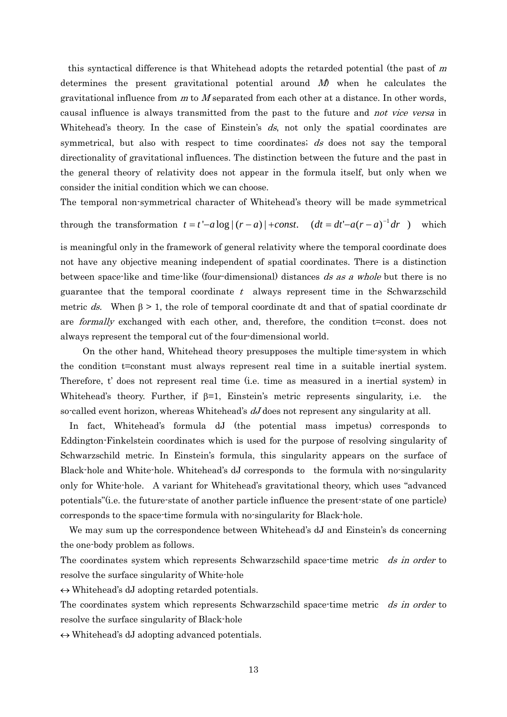this syntactical difference is that Whitehead adopts the retarded potential (the past of  $m$ determines the present gravitational potential around  $M$ ) when he calculates the gravitational influence from  $m$  to  $M$  separated from each other at a distance. In other words, causal influence is always transmitted from the past to the future and not vice versa in Whitehead's theory. In the case of Einstein's  $ds$ , not only the spatial coordinates are symmetrical, but also with respect to time coordinates; ds does not say the temporal directionality of gravitational influences. The distinction between the future and the past in the general theory of relativity does not appear in the formula itself, but only when we consider the initial condition which we can choose.

The temporal non-symmetrical character of Whitehead's theory will be made symmetrical

through the transformation  $t = t' - a \log |(r - a)| + const.$   $(dt = dt' - a(r - a)^{-1} dr)$  which

is meaningful only in the framework of general relativity where the temporal coordinate does not have any objective meaning independent of spatial coordinates. There is a distinction between space-like and time-like (four-dimensional) distances ds as a whole but there is no guarantee that the temporal coordinate  $t$  always represent time in the Schwarzschild metric ds. When  $\beta > 1$ , the role of temporal coordinate dt and that of spatial coordinate dr are formally exchanged with each other, and, therefore, the condition t=const. does not always represent the temporal cut of the four-dimensional world.

 On the other hand, Whitehead theory presupposes the multiple time-system in which the condition t=constant must always represent real time in a suitable inertial system. Therefore, t' does not represent real time (i.e. time as measured in a inertial system) in Whitehead's theory. Further, if  $\beta=1$ , Einstein's metric represents singularity, i.e. the so-called event horizon, whereas Whitehead's  $dJ$  does not represent any singularity at all.

In fact, Whitehead's formula dJ (the potential mass impetus) corresponds to Eddington-Finkelstein coordinates which is used for the purpose of resolving singularity of Schwarzschild metric. In Einstein's formula, this singularity appears on the surface of Black-hole and White-hole. Whitehead's dJ corresponds to the formula with no-singularity only for White-hole. A variant for Whitehead's gravitational theory, which uses "advanced potentials"(i.e. the future-state of another particle influence the present-state of one particle) corresponds to the space-time formula with no-singularity for Black-hole.

We may sum up the correspondence between Whitehead's dJ and Einstein's ds concerning the one-body problem as follows.

The coordinates system which represents Schwarzschild space-time metric ds in order to resolve the surface singularity of White-hole

 $\leftrightarrow$  Whitehead's dJ adopting retarded potentials.

The coordinates system which represents Schwarzschild space-time metric ds in order to resolve the surface singularity of Black-hole

 $\leftrightarrow$  Whitehead's dJ adopting advanced potentials.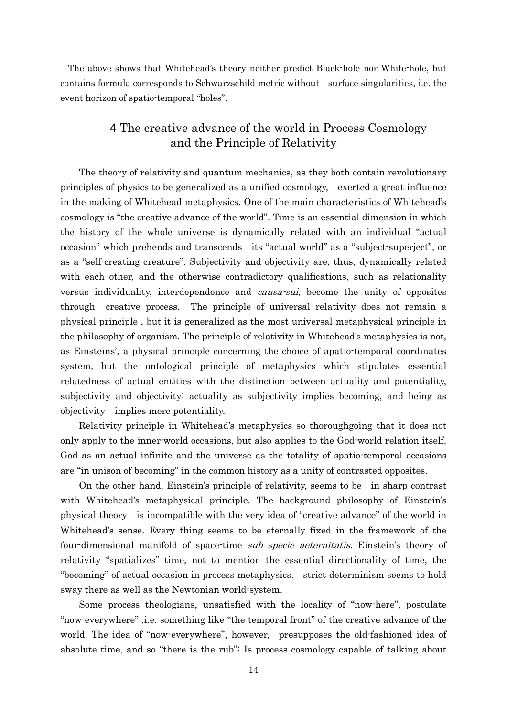The above shows that Whitehead's theory neither predict Black-hole nor White-hole, but contains formula corresponds to Schwarzschild metric without surface singularities, i.e. the event horizon of spatio-temporal "holes".

## 4 The creative advance of the world in Process Cosmology and the Principle of Relativity

The theory of relativity and quantum mechanics, as they both contain revolutionary principles of physics to be generalized as a unified cosmology, exerted a great influence in the making of Whitehead metaphysics. One of the main characteristics of Whitehead's cosmology is "the creative advance of the world". Time is an essential dimension in which the history of the whole universe is dynamically related with an individual "actual occasion" which prehends and transcends its "actual world" as a "subject-superject", or as a "self-creating creature". Subjectivity and objectivity are, thus, dynamically related with each other, and the otherwise contradictory qualifications, such as relationality versus individuality, interdependence and causa-sui, become the unity of opposites through creative process. The principle of universal relativity does not remain a physical principle , but it is generalized as the most universal metaphysical principle in the philosophy of organism. The principle of relativity in Whitehead's metaphysics is not, as Einsteins', a physical principle concerning the choice of apatio-temporal coordinates system, but the ontological principle of metaphysics which stipulates essential relatedness of actual entities with the distinction between actuality and potentiality, subjectivity and objectivity: actuality as subjectivity implies becoming, and being as objectivity implies mere potentiality.

Relativity principle in Whitehead's metaphysics so thoroughgoing that it does not only apply to the inner-world occasions, but also applies to the God-world relation itself. God as an actual infinite and the universe as the totality of spatio-temporal occasions are "in unison of becoming" in the common history as a unity of contrasted opposites.

On the other hand, Einstein's principle of relativity, seems to be in sharp contrast with Whitehead's metaphysical principle. The background philosophy of Einstein's physical theory is incompatible with the very idea of "creative advance" of the world in Whitehead's sense. Every thing seems to be eternally fixed in the framework of the four-dimensional manifold of space-time *sub specie aeternitatis*. Einstein's theory of relativity "spatializes" time, not to mention the essential directionality of time, the "becoming" of actual occasion in process metaphysics. strict determinism seems to hold sway there as well as the Newtonian world-system.

Some process theologians, unsatisfied with the locality of "now-here", postulate "now-everywhere" ,i.e. something like "the temporal front" of the creative advance of the world. The idea of "now-everywhere", however, presupposes the old-fashioned idea of absolute time, and so "there is the rub": Is process cosmology capable of talking about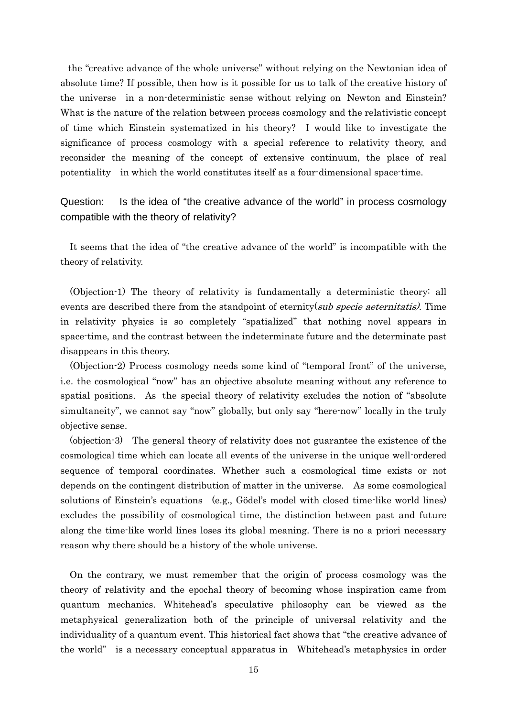the "creative advance of the whole universe" without relying on the Newtonian idea of absolute time? If possible, then how is it possible for us to talk of the creative history of the universe in a non-deterministic sense without relying on Newton and Einstein? What is the nature of the relation between process cosmology and the relativistic concept of time which Einstein systematized in his theory? I would like to investigate the significance of process cosmology with a special reference to relativity theory, and reconsider the meaning of the concept of extensive continuum, the place of real potentiality in which the world constitutes itself as a four-dimensional space-time.

Question: Is the idea of "the creative advance of the world" in process cosmology compatible with the theory of relativity?

It seems that the idea of "the creative advance of the world" is incompatible with the theory of relativity.

(Objection-1) The theory of relativity is fundamentally a deterministic theory: all events are described there from the standpoint of eternity(sub specie aeternitatis). Time in relativity physics is so completely "spatialized" that nothing novel appears in space-time, and the contrast between the indeterminate future and the determinate past disappears in this theory.

(Objection-2) Process cosmology needs some kind of "temporal front" of the universe, i.e. the cosmological "now" has an objective absolute meaning without any reference to spatial positions. As the special theory of relativity excludes the notion of "absolute simultaneity", we cannot say "now" globally, but only say "here-now" locally in the truly objective sense.

(objection-3) The general theory of relativity does not guarantee the existence of the cosmological time which can locate all events of the universe in the unique well-ordered sequence of temporal coordinates. Whether such a cosmological time exists or not depends on the contingent distribution of matter in the universe. As some cosmological solutions of Einstein's equations (e.g., Gödel's model with closed time-like world lines) excludes the possibility of cosmological time, the distinction between past and future along the time-like world lines loses its global meaning. There is no a priori necessary reason why there should be a history of the whole universe.

On the contrary, we must remember that the origin of process cosmology was the theory of relativity and the epochal theory of becoming whose inspiration came from quantum mechanics. Whitehead's speculative philosophy can be viewed as the metaphysical generalization both of the principle of universal relativity and the individuality of a quantum event. This historical fact shows that "the creative advance of the world" is a necessary conceptual apparatus in Whitehead's metaphysics in order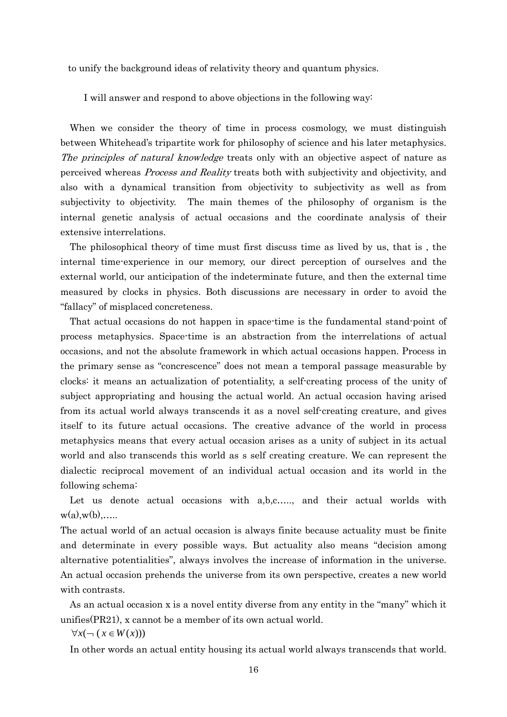to unify the background ideas of relativity theory and quantum physics.

I will answer and respond to above objections in the following way:

When we consider the theory of time in process cosmology, we must distinguish between Whitehead's tripartite work for philosophy of science and his later metaphysics. The principles of natural knowledge treats only with an objective aspect of nature as perceived whereas Process and Reality treats both with subjectivity and objectivity, and also with a dynamical transition from objectivity to subjectivity as well as from subjectivity to objectivity. The main themes of the philosophy of organism is the internal genetic analysis of actual occasions and the coordinate analysis of their extensive interrelations.

The philosophical theory of time must first discuss time as lived by us, that is , the internal time-experience in our memory, our direct perception of ourselves and the external world, our anticipation of the indeterminate future, and then the external time measured by clocks in physics. Both discussions are necessary in order to avoid the "fallacy" of misplaced concreteness.

That actual occasions do not happen in space-time is the fundamental stand-point of process metaphysics. Space-time is an abstraction from the interrelations of actual occasions, and not the absolute framework in which actual occasions happen. Process in the primary sense as "concrescence" does not mean a temporal passage measurable by clocks: it means an actualization of potentiality, a self-creating process of the unity of subject appropriating and housing the actual world. An actual occasion having arised from its actual world always transcends it as a novel self-creating creature, and gives itself to its future actual occasions. The creative advance of the world in process metaphysics means that every actual occasion arises as a unity of subject in its actual world and also transcends this world as s self creating creature. We can represent the dialectic reciprocal movement of an individual actual occasion and its world in the following schema:

Let us denote actual occasions with a,b,c….., and their actual worlds with  $w(a),w(b),\ldots$ 

The actual world of an actual occasion is always finite because actuality must be finite and determinate in every possible ways. But actuality also means "decision among alternative potentialities", always involves the increase of information in the universe. An actual occasion prehends the universe from its own perspective, creates a new world with contrasts.

As an actual occasion x is a novel entity diverse from any entity in the "many" which it unifies(PR21), x cannot be a member of its own actual world.

 $\forall x (¬ (x ∈ W(x)))$ 

In other words an actual entity housing its actual world always transcends that world.